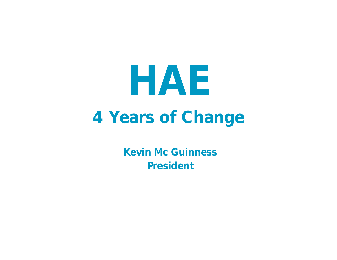

**Kevin Mc Guinness President**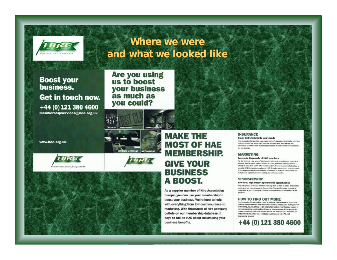

#### Where we were and what we looked like

**Boost your** business. Get in touch now. +44 (0) 121 380 4600 membershipservices@hae.org.uk

**Are you using** us to boost your business as much as you could?







eñn

**MARKETING** 



#### **MAKE THE MOST OF HAE MEMBERSHIP. GIVE YOUR BUSINESS** A BOOST.

As a supplier member of Hire Association Europe, you can use your membership to boost your business. We're here to help with everything from low cost insurance to marketing. With thousands of hire company outlets on our membership database, it pays to talk to HAE about maximising your business benefits.

#### **INSURANCE** Cover that's tailored to your needs

Hite Association Europe has many, many years of reperience of arranging insurses designed specifically for our members mee incustry. Now, we're patting this experience to work to take insurance policies that most the needs of suppliers to the life industry.

#### **MARKETING**

#### Access to thousands of HAE members

For the first time ever, we're offering you the ahance to advertise your equipment. vereces, special offers, special product burscion, talesales activity and moredirectly to more than 3,000 HAE member eatlets. This involvable marketing teel a available ONLY to suggifier members of NAE. To make sure you can make the most of this hege opportunity, the detabase of members is available electronically on that you can organise your own mailings as easily as possible.

#### **SPONSORSHIP**

#### Low-cost, high impact sponsorship opportunities

Why not spensor one of our member meetings from as little as £350. This neaties you to promote your company at the event itself through literature, retworking. recignities of your company at the event and sponsorship of the befiet - all for kei 6390.

#### **HOW TO FIND OUT MORE**

Hire Association Esrope makes it casy to publician year company or bursch new products and information. Whether you want to send out specialist makings to our membership, buy advertising or get ecritonal coverage in Hito Standard magazine, retwork at regional events and edulations or take advantage of the sponsorskis opportunities at the Him Awards of Eurokence and International Conference, to find out more about how you could boost your business with HAE, call **Single-William Security** 

+44 (0) 121 380 4600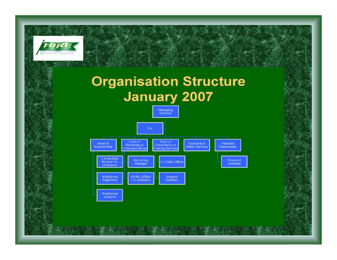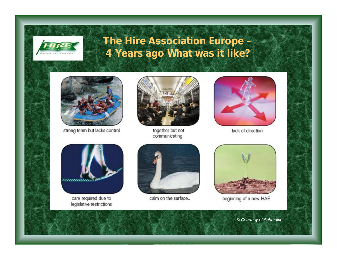

### **The Hire Association Europe – 4 Years ago What was it like?**



strong team but lacks control



together but not communicating



lack of direction



care required due to legislative restrictions



calm on the surface...



beginning of a new HAE

*© Courtesy of Schmakk*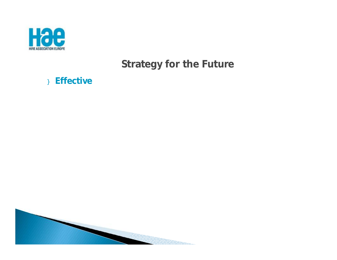

#### } Effective

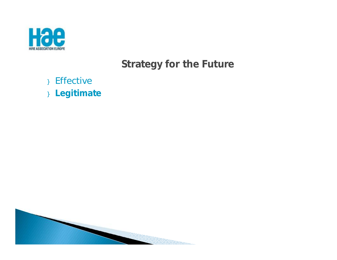

- } Effective
- **}** Legitimate

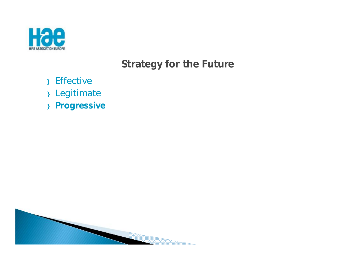

- } Effective
- } Legitimate
- } **Progressive**

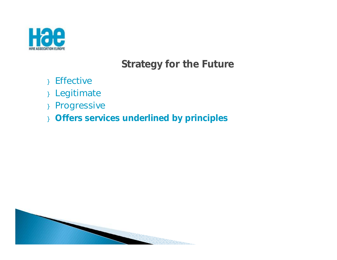

- } Effective
- } Legitimate
- } Progressive
- } **Offers services underlined by principles**

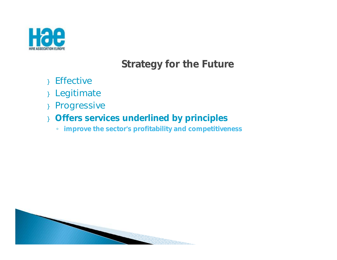

- } Effective
- } Legitimate
- } Progressive
- } **Offers services underlined by principles**
	- **improve the sector's profitability and competitiveness**

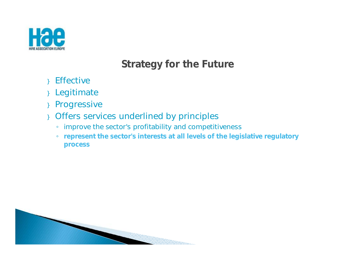

- } Effective
- } Legitimate
- } Progressive
- } Offers services underlined by principles
	- improve the sector's profitability and competitiveness
	- **represent the sector's interests at all levels of the legislative regulatory process**

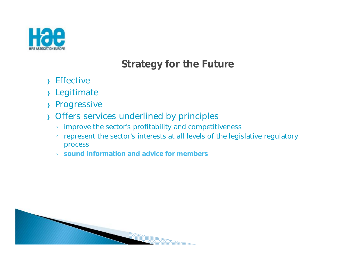

- } Effective
- } Legitimate
- } Progressive
- } Offers services underlined by principles
	- improve the sector's profitability and competitiveness
	- represent the sector's interests at all levels of the legislative regulatory process
	- **sound information and advice for members**

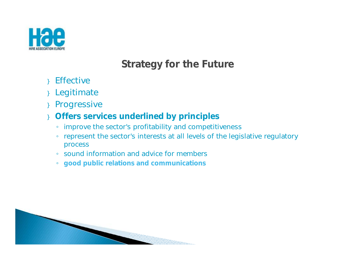

- } Effective
- } Legitimate
- } Progressive
- } **Offers services underlined by principles**
	- improve the sector's profitability and competitiveness
	- represent the sector's interests at all levels of the legislative regulatory process
	- sound information and advice for members
	- **good public relations and communications**

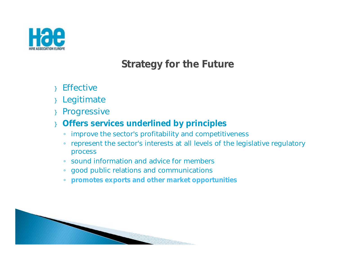

- **Effective**
- } Legitimate
- } Progressive
- } **Offers services underlined by principles**
	- improve the sector's profitability and competitiveness
	- represent the sector's interests at all levels of the legislative regulatory process
	- sound information and advice for members
	- good public relations and communications
	- **promotes exports and other market opportunities**

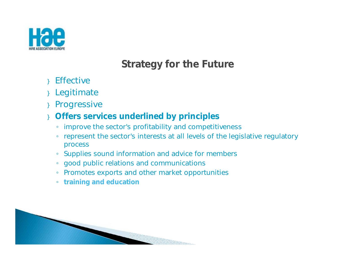

- **Effective**
- **Legitimate**
- **Progressive**
- } **Offers services underlined by principles**
	- improve the sector's profitability and competitiveness
	- represent the sector's interests at all levels of the legislative regulatory process
	- Supplies sound information and advice for members
	- good public relations and communications
	- Promotes exports and other market opportunities
	- **training and education**

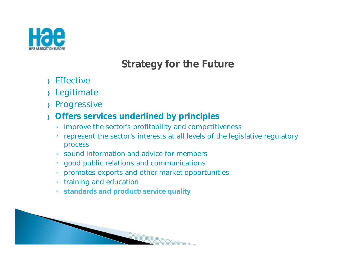

- **Effective**
- **Legitimate**
- **Progressive**
- } **Offers services underlined by principles**
	- improve the sector's profitability and competitiveness
	- represent the sector's interests at all levels of the legislative regulatory process
	- sound information and advice for members
	- good public relations and communications
	- promotes exports and other market opportunities
	- training and education
	- **standards and product/service quality**

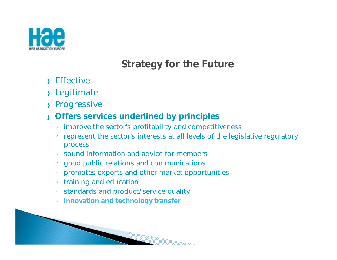

- **Effective**
- **Legitimate**
- **Progressive**
- } **Offers services underlined by principles**
	- improve the sector's profitability and competitiveness
	- represent the sector's interests at all levels of the legislative regulatory process
	- sound information and advice for members
	- good public relations and communications
	- promotes exports and other market opportunities
	- training and education
	- standards and product/service quality
	- **innovation and technology transfer**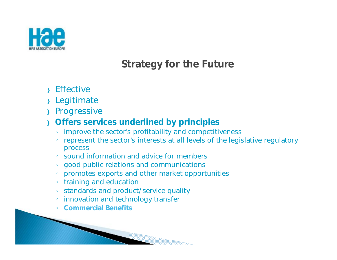

- **Effective**
- **Legitimate**
- **Progressive**
- } **Offers services underlined by principles**
	- improve the sector's profitability and competitiveness
	- represent the sector's interests at all levels of the legislative regulatory process

en en de stad en de stad en de stad en de stad en de stad en de stad en de stad en de stad en de stad en de st<br>De stad en de stad en de stad en de stad en de stad en de stad en de stad en de stad en de stad en de stad en

- sound information and advice for members
- good public relations and communications
- promotes exports and other market opportunities
- training and education
- standards and product/service quality
- innovation and technology transfer
- **Commercial Benefits**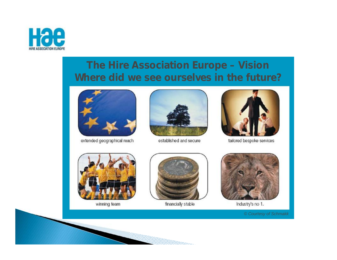

### **The Hire Association Europe – Vision Where did we see ourselves in the future?**



extended geographical reach



established and secure



tailored bespoke services



winning team



financially stable

William Corporation and Service and Service and Service and Service and Service and Service and Service and S



Industry's no 1.

*© Courtesy of Schmakk*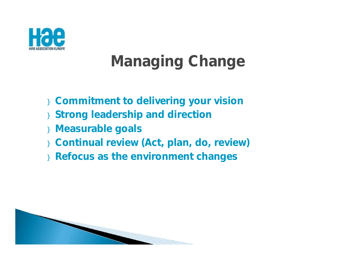

# **Managing Change**

- } **Commitment to delivering your vision**
- } **Strong leadership and direction**
- } **Measurable goals**
- } **Continual review (Act, plan, do, review)**
- } **Refocus as the environment changes**

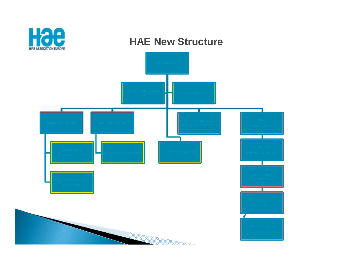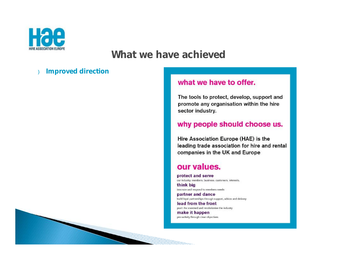

#### **Improved direction**  $\mathcal{E}$

#### what we have to offer.

The tools to protect, develop, support and promote any organisation within the hire sector industry.

#### why people should choose us.

Hire Association Europe (HAE) is the leading trade association for hire and rental companies in the UK and Europe

#### our values.

protect and serve our industry, members, business, customers, interests, think big

innovate and respond to members needs partner and dance

build loyal partnerships through support, advice and delivery lead from the front push the standard and revolutionise the industry

make it happen pro-activity through clear objectives

1000mm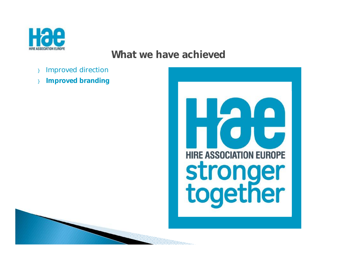

- Improved direction
- } **Improved branding**

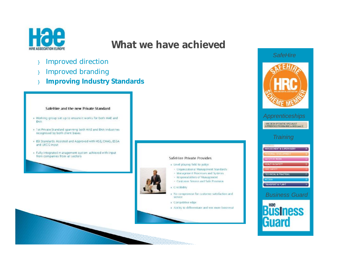

- } Improved direction
- } Improved branding
- } **Improving Industry Standards**

#### SafeHire and the new Private Standard

- » Working group set up to ensure it works for both HAE and EHA
- . 1st Private Standard spanning both HAE and EHA industries recognised by both client bases
- BSI Standards Assisted and Approved with HSE, CHAS, ESSA and UKCG input
- · Fully integrated m anagement system achieved with input from companies from all sectors



#### SafeHire Private Provides

- Level playing field to judge
- · Organizational Management Standards
- Management Processes and Systems
- Responsibilities of Management
- · Customer Service and Safe Provision
- Credibility
- » No compromise for customer satisfaction and service
- Competitive edge

William

Ability to differentiate and win more business!



#### *Training*

| <b>COURSES</b>                      |    |
|-------------------------------------|----|
| <b>MANAGEMENT &amp; SUPERVISORY</b> | ٨  |
| <b>PERSONAL DEVELOPMEN</b>          |    |
| <b>SAFETY AT WORK</b>               |    |
| <b>HEALT-I &amp; SAFETY</b>         | U. |
| <b>FIRE SAFETY</b>                  |    |
| <b>TECHNICAL &amp; FRACTICAL</b>    |    |
| <b>ACCESS</b>                       |    |
| <b>TRANSPORT &amp; PLANT</b>        |    |

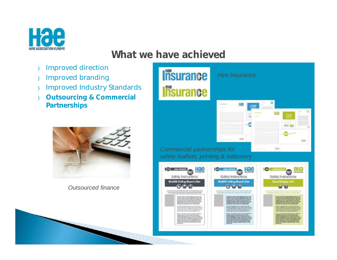

- } Improved direction
- } Improved branding
- } Improved Industry Standards
- } **Outsourcing & Commercial Partnerships**



*Outsourced finance*

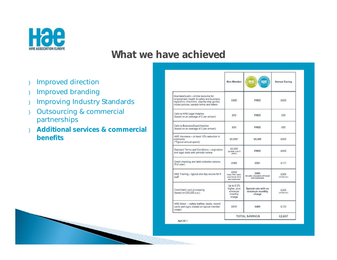

- } Improved direction
- } Improved branding
- } Improving Industry Standards
- } Outsourcing & commercial partnerships
- } **Additional services & commercial benefits**

|                                                                                                                                                                              | Non-Member                                                   | 日報                                                    | Annual Saving         |
|------------------------------------------------------------------------------------------------------------------------------------------------------------------------------|--------------------------------------------------------------|-------------------------------------------------------|-----------------------|
| BusinessGuard - online resource for<br>employment, health & safety and business<br>legislation; checklists, step-by-step guides,<br>model policies, sample forms and letters | £800                                                         | FREE                                                  | £800                  |
| Calls to HAE Legal Helpline<br>(based on an average of 2 per annum).                                                                                                         | £50                                                          | FREE                                                  | 650                   |
| Calls to BusinessGuard helpline<br>(based on an average of 2 per annum)                                                                                                      | £50                                                          | FREE                                                  | E50                   |
| HAE Insurance - at least 10% reduction in<br>premiums<br>("Typical annual spend)                                                                                             | £5,000*                                                      | £4,500                                                | £500                  |
| Standard Terms and Conditions - origination.<br>and legal costs with periodic review                                                                                         | £2,000<br><b>Isomet over E</b><br>years).                    | FREE                                                  | 6400                  |
| Credit checking and debt collection service<br>(Full user)                                                                                                                   | £468                                                         | £351                                                  | £117                  |
| HAE Training - typical one day course for 6<br>staff                                                                                                                         | £810<br>Away from pase.<br>plus travel, time<br>and expenses | 6445<br>On-olle, includive of travel<br>and supenses. | £365<br>destructions. |
| Credit/debit card processing<br>(based on £50,000 p.a.)                                                                                                                      | Up to 0.2%<br>higher, plus<br>minimum<br>monthly<br>charge   | Special rate with no<br>minimum monthly<br>charge     | £200<br>(minimum)     |
| HAE Direct - safety leaflets, labels, record<br>cards and signs (based on typical member<br>usaoe)                                                                           | £615                                                         | 6490                                                  | £125                  |
|                                                                                                                                                                              |                                                              | <b>TOTAL SAVINGS</b>                                  | £2,607                |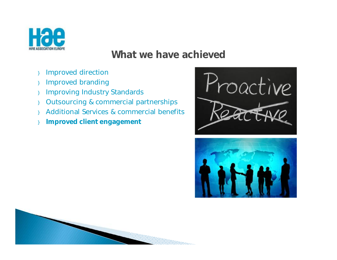

- } Improved direction
- } Improved branding
- } Improving Industry Standards
- } Outsourcing & commercial partnerships
- } Additional Services & commercial benefits
- } **Improved client engagement**





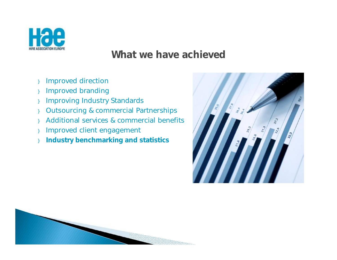

- } Improved direction
- } Improved branding
- } Improving Industry Standards
- } Outsourcing & commercial Partnerships
- } Additional services & commercial benefits
- } Improved client engagement
- } **Industry benchmarking and statistics**



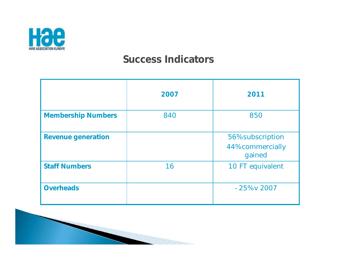

#### **Success Indicators**

|                           | 2007 | 2011                                           |
|---------------------------|------|------------------------------------------------|
| <b>Membership Numbers</b> | 840  | 850                                            |
| <b>Revenue generation</b> |      | 56% subscription<br>44% commercially<br>gained |
| <b>Staff Numbers</b>      | 16   | 10 FT equivalent                               |
| <b>Overheads</b>          |      | $-25\%$ v 2007                                 |